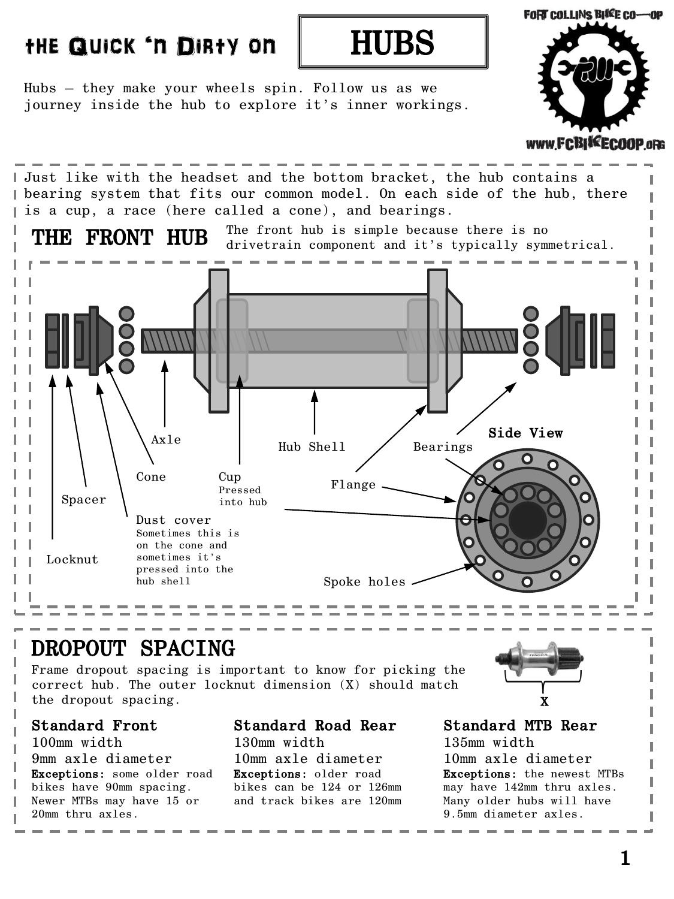# the Quick 'n Dirty on HUBS



Hubs – they make your wheels spin. Follow us as we journey inside the hub to explore it's inner workings.



FRONT HUB Just like with the headset and the bottom bracket, the hub contains a bearing system that fits our common model. On each side of the hub, there I is a cup, a race (here called a cone), and bearings. The front hub is simple because there is no drivetrain component and it's typically symmetrical. Hub Shell / Bearings Cup Pressed into hub Axle Cone Spacer Dust cover Sometimes this is on the cone and sometimes it's pressed into the hub shell Locknut Flange Spoke holes Side View

### DROPOUT SPACING

Frame dropout spacing is important to know for picking the correct hub. The outer locknut dimension (X) should match the dropout spacing.

#### Standard Front

100mm width 9mm axle diameter Exceptions: some older road bikes have 90mm spacing. Newer MTBs may have 15 or 20mm thru axles.

#### Standard Road Rear

130mm width 10mm axle diameter Exceptions: older road bikes can be 124 or 126mm and track bikes are 120mm

# X

#### Standard MTB Rear

135mm width 10mm axle diameter Exceptions: the newest MTBs may have 142mm thru axles. Many older hubs will have 9.5mm diameter axles.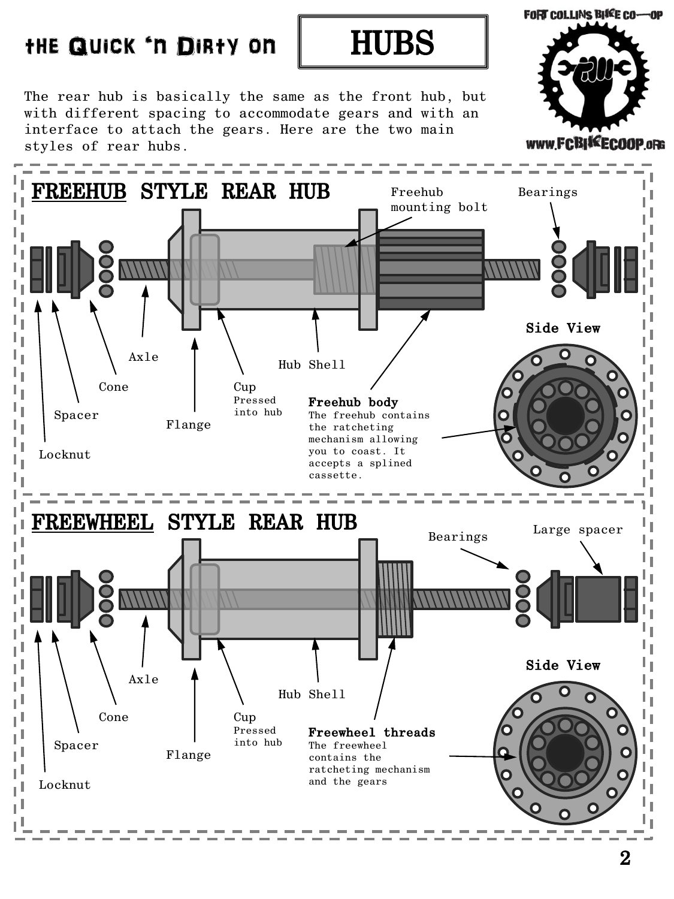# the Quick 'n Dirty on | HUBS



The rear hub is basically the same as the front hub, but with different spacing to accommodate gears and with an interface to attach the gears. Here are the two main styles of rear hubs.



**FORT COLLINS BIKE CO-OP**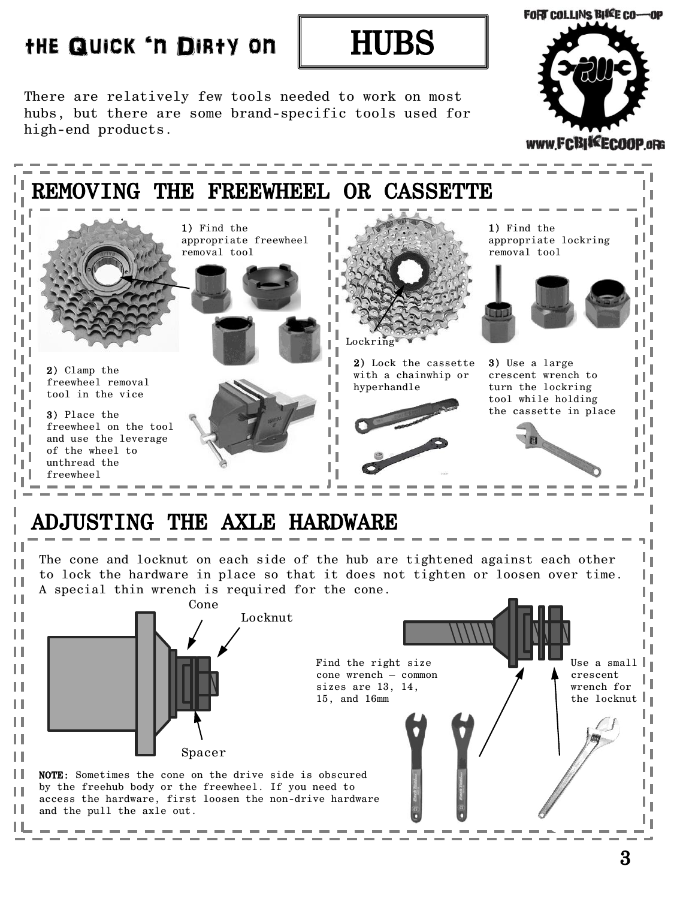

There are relatively few tools needed to work on most hubs, but there are some brand-specific tools used for high-end products.



# ADJUSTING THE AXLE HARDWARE

П

Н

н

The cone and locknut on each side of the hub are tightened against each other to lock the hardware in place so that it does not tighten or loosen over time. A special thin wrench is required for the cone.



ı Ĭ.

ι,

**FORT COLLINS BIKE CO-OP** 

www.FCBIKECOOP.oRG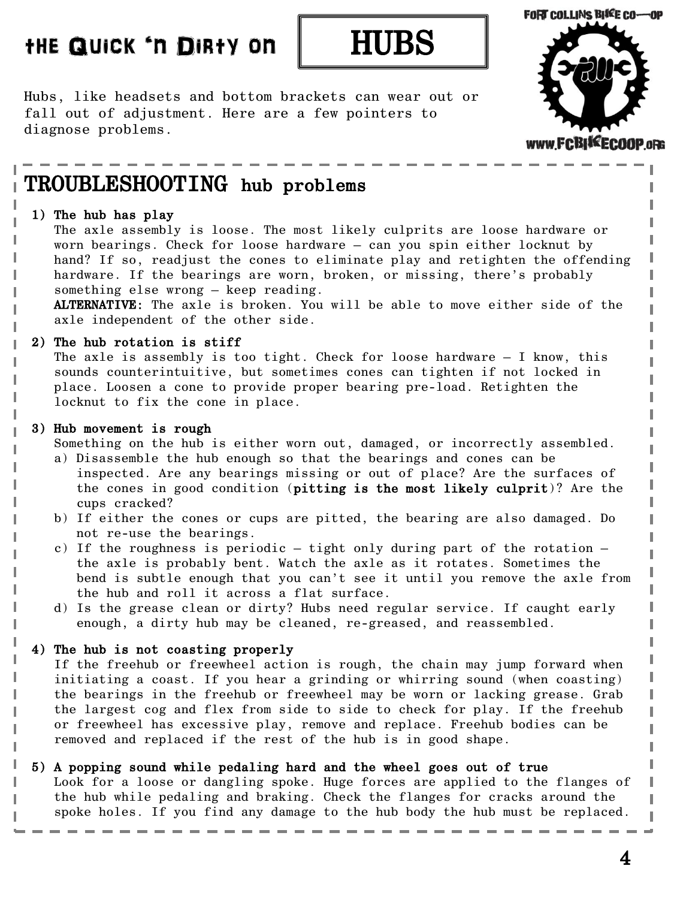## the Quick 'n Dirty on



Hubs, like headsets and bottom brackets can wear out or fall out of adjustment. Here are a few pointers to diagnose problems.



# TROUBLESHOOTING hub problems

#### 1) The hub has play

The axle assembly is loose. The most likely culprits are loose hardware or worn bearings. Check for loose hardware – can you spin either locknut by hand? If so, readjust the cones to eliminate play and retighten the offending hardware. If the bearings are worn, broken, or missing, there's probably something else wrong – keep reading.

ALTERNATIVE: The axle is broken. You will be able to move either side of the axle independent of the other side.

#### 2) The hub rotation is stiff

The axle is assembly is too tight. Check for loose hardware – I know, this sounds counterintuitive, but sometimes cones can tighten if not locked in place. Loosen a cone to provide proper bearing pre-load. Retighten the locknut to fix the cone in place.

#### 3) Hub movement is rough

I

Something on the hub is either worn out, damaged, or incorrectly assembled.

- a) Disassemble the hub enough so that the bearings and cones can be inspected. Are any bearings missing or out of place? Are the surfaces of the cones in good condition (pitting is the most likely culprit)? Are the cups cracked?
- b) If either the cones or cups are pitted, the bearing are also damaged. Do not re-use the bearings.
- c) If the roughness is periodic  $-$  tight only during part of the rotation  $$ the axle is probably bent. Watch the axle as it rotates. Sometimes the bend is subtle enough that you can't see it until you remove the axle from the hub and roll it across a flat surface.
- d) Is the grease clean or dirty? Hubs need regular service. If caught early enough, a dirty hub may be cleaned, re-greased, and reassembled.

#### 4) The hub is not coasting properly

 If the freehub or freewheel action is rough, the chain may jump forward when initiating a coast. If you hear a grinding or whirring sound (when coasting) the bearings in the freehub or freewheel may be worn or lacking grease. Grab the largest cog and flex from side to side to check for play. If the freehub or freewheel has excessive play, remove and replace. Freehub bodies can be removed and replaced if the rest of the hub is in good shape.

#### 5) A popping sound while pedaling hard and the wheel goes out of true

 Look for a loose or dangling spoke. Huge forces are applied to the flanges of the hub while pedaling and braking. Check the flanges for cracks around the spoke holes. If you find any damage to the hub body the hub must be replaced.